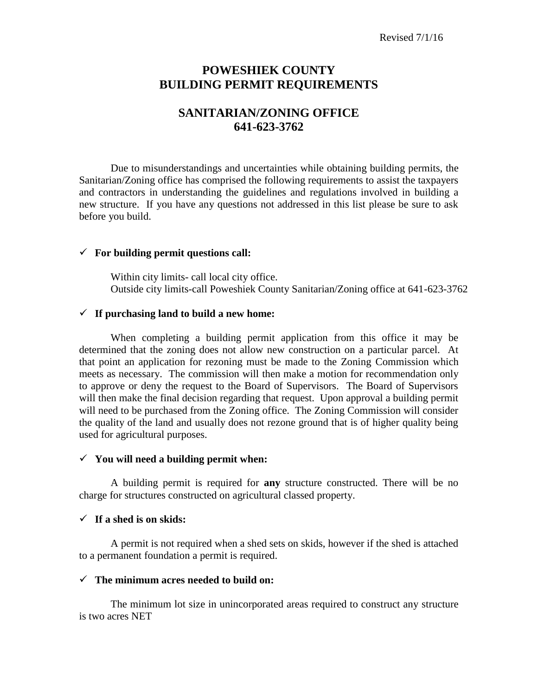## **POWESHIEK COUNTY BUILDING PERMIT REQUIREMENTS**

# **SANITARIAN/ZONING OFFICE 641-623-3762**

Due to misunderstandings and uncertainties while obtaining building permits, the Sanitarian/Zoning office has comprised the following requirements to assist the taxpayers and contractors in understanding the guidelines and regulations involved in building a new structure. If you have any questions not addressed in this list please be sure to ask before you build.

#### **For building permit questions call:**

Within city limits- call local city office. Outside city limits-call Poweshiek County Sanitarian/Zoning office at 641-623-3762

#### **If purchasing land to build a new home:**

When completing a building permit application from this office it may be determined that the zoning does not allow new construction on a particular parcel. At that point an application for rezoning must be made to the Zoning Commission which meets as necessary. The commission will then make a motion for recommendation only to approve or deny the request to the Board of Supervisors. The Board of Supervisors will then make the final decision regarding that request. Upon approval a building permit will need to be purchased from the Zoning office. The Zoning Commission will consider the quality of the land and usually does not rezone ground that is of higher quality being used for agricultural purposes.

#### **You will need a building permit when:**

A building permit is required for **any** structure constructed. There will be no charge for structures constructed on agricultural classed property.

#### **If a shed is on skids:**

A permit is not required when a shed sets on skids, however if the shed is attached to a permanent foundation a permit is required.

#### **The minimum acres needed to build on:**

The minimum lot size in unincorporated areas required to construct any structure is two acres NET